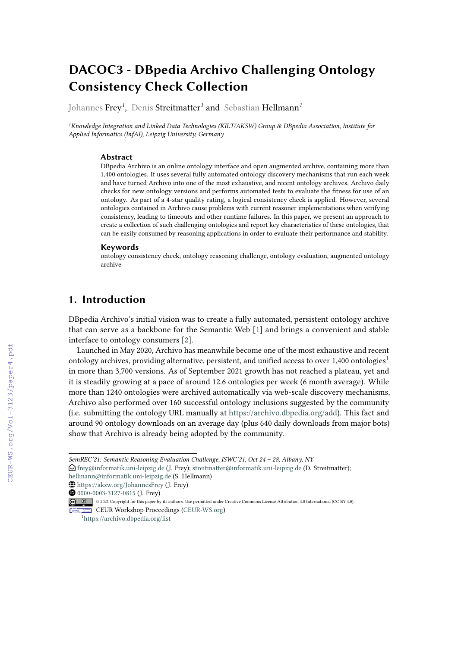# **DACOC3 - DBpedia Archivo Challenging Ontology Consistency Check Collection**

Johannes Frey*<sup>1</sup>* , Denis Streitmatter*<sup>1</sup>* and Sebastian Hellmann*<sup>1</sup>*

*<sup>1</sup>Knowledge Integration and Linked Data Technologies (KILT/AKSW) Group & DBpedia Association, Institute for Applied Informatics (InfAI), Leipzig University, Germany*

#### **Abstract**

DBpedia Archivo is an online ontology interface and open augmented archive, containing more than 1,400 ontologies. It uses several fully automated ontology discovery mechanisms that run each week and have turned Archivo into one of the most exhaustive, and recent ontology archives. Archivo daily checks for new ontology versions and performs automated tests to evaluate the fitness for use of an ontology. As part of a 4-star quality rating, a logical consistency check is applied. However, several ontologies contained in Archivo cause problems with current reasoner implementations when verifying consistency, leading to timeouts and other runtime failures. In this paper, we present an approach to create a collection of such challenging ontologies and report key characteristics of these ontologies, that can be easily consumed by reasoning applications in order to evaluate their performance and stability.

#### **Keywords**

ontology consistency check, ontology reasoning challenge, ontology evaluation, augmented ontology archive

### **1. Introduction**

DBpedia Archivo's initial vision was to create a fully automated, persistent ontology archive that can serve as a backbone for the Semantic Web [\[1\]](#page--1-0) and brings a convenient and stable interface to ontology consumers [\[2\]](#page--1-1).

Launched in May 2020, Archivo has meanwhile become one of the most exhaustive and recent ontology archives, providing alternative, persistent, and unified access to over [1](#page-0-0),400 ontologies<sup>1</sup> in more than 3,700 versions. As of September 2021 growth has not reached a plateau, yet and it is steadily growing at a pace of around 12.6 ontologies per week (6 month average). While more than 1240 ontologies were archived automatically via web-scale discovery mechanisms, Archivo also performed over 160 successful ontology inclusions suggested by the community (i.e. submitting the ontology URL manually at [https://archivo.dbpedia.org/add\)](https://archivo.dbpedia.org/add). This fact and around 90 ontology downloads on an average day (plus 640 daily downloads from major bots) show that Archivo is already being adopted by the community.

 $\bigcirc$  [frey@informatik.uni-leipzig.de](mailto:frey@informatik.uni-leipzig.de) (J. Frey); [streitmatter@informatik.uni-leipzig.de](mailto:streitmatter@informatik.uni-leipzig.de) (D. Streitmatter);

*SemREC'21: Semantic Reasoning Evaluation Challenge, ISWC'21, Oct 24 – 28, Albany, NY*

[hellmann@informatik.uni-leipzig.de](mailto:hellmann@informatik.uni-leipzig.de) (S. Hellmann)

 $\bigcirc$  <https://aksw.org/JohannesFrey> (J. Frey)

 $\bullet$  [0000-0003-3127-0815](https://orcid.org/0000-0003-3127-0815) (J. Frey)

<sup>© 0 021</sup> Copyright for this paper by its authors. Use permitted under Creative Commons License Attribution 4.0 International (CC BY 4.0). CEUR Workshop [Proceedings](http://ceur-ws.org) [\(CEUR-WS.org\)](http://ceur-ws.org)

<span id="page-0-0"></span><sup>1</sup><https://archivo.dbpedia.org/list>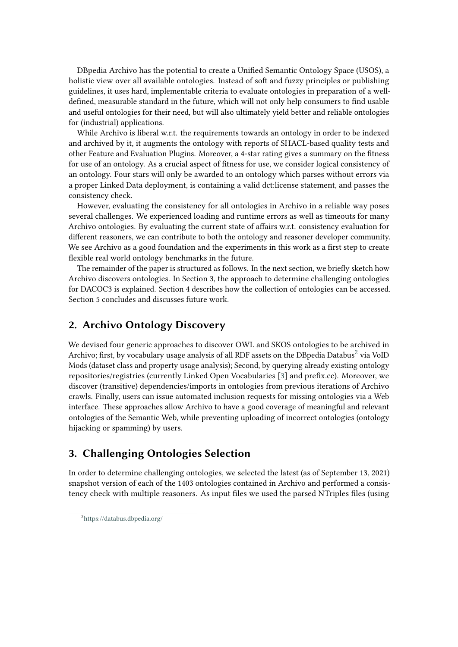DBpedia Archivo has the potential to create a Unified Semantic Ontology Space (USOS), a holistic view over all available ontologies. Instead of soft and fuzzy principles or publishing guidelines, it uses hard, implementable criteria to evaluate ontologies in preparation of a welldefined, measurable standard in the future, which will not only help consumers to find usable and useful ontologies for their need, but will also ultimately yield better and reliable ontologies for (industrial) applications.

While Archivo is liberal w.r.t. the requirements towards an ontology in order to be indexed and archived by it, it augments the ontology with reports of SHACL-based quality tests and other Feature and Evaluation Plugins. Moreover, a 4-star rating gives a summary on the fitness for use of an ontology. As a crucial aspect of fitness for use, we consider logical consistency of an ontology. Four stars will only be awarded to an ontology which parses without errors via a proper Linked Data deployment, is containing a valid dct:license statement, and passes the consistency check.

However, evaluating the consistency for all ontologies in Archivo in a reliable way poses several challenges. We experienced loading and runtime errors as well as timeouts for many Archivo ontologies. By evaluating the current state of affairs w.r.t. consistency evaluation for different reasoners, we can contribute to both the ontology and reasoner developer community. We see Archivo as a good foundation and the experiments in this work as a first step to create flexible real world ontology benchmarks in the future.

The remainder of the paper is structured as follows. In the next section, we briefly sketch how Archivo discovers ontologies. In Section 3, the approach to determine challenging ontologies for DACOC3 is explained. Section 4 describes how the collection of ontologies can be accessed. Section 5 concludes and discusses future work.

### **2. Archivo Ontology Discovery**

We devised four generic approaches to discover OWL and SKOS ontologies to be archived in Archivo; first, by vocabulary usage analysis of all RDF assets on the DBpedia Databus $^2$  $^2$  via VoID Mods (dataset class and property usage analysis); Second, by querying already existing ontology repositories/registries (currently Linked Open Vocabularies [\[3\]](#page-4-0) and prefix.cc). Moreover, we discover (transitive) dependencies/imports in ontologies from previous iterations of Archivo crawls. Finally, users can issue automated inclusion requests for missing ontologies via a Web interface. These approaches allow Archivo to have a good coverage of meaningful and relevant ontologies of the Semantic Web, while preventing uploading of incorrect ontologies (ontology hijacking or spamming) by users.

## **3. Challenging Ontologies Selection**

In order to determine challenging ontologies, we selected the latest (as of September 13, 2021) snapshot version of each of the 1403 ontologies contained in Archivo and performed a consistency check with multiple reasoners. As input files we used the parsed NTriples files (using

<span id="page-1-0"></span><sup>2</sup><https://databus.dbpedia.org/>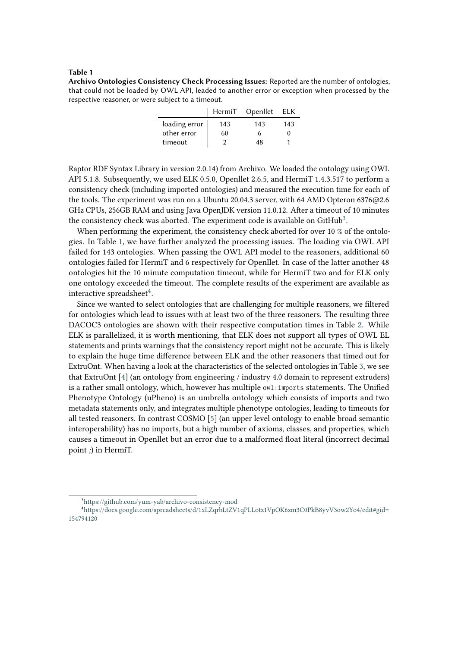#### <span id="page-2-1"></span>**Table 1**

**Archivo Ontologies Consistency Check Processing Issues:** Reported are the number of ontologies, that could not be loaded by OWL API, leaded to another error or exception when processed by the respective reasoner, or were subject to a timeout.

|               | HermiT | Openllet | ELK |
|---------------|--------|----------|-----|
| loading error | 143    | 143      | 143 |
| other error   | 60     | 6        |     |
| timeout       |        | 48       |     |

Raptor RDF Syntax Library in version 2.0.14) from Archivo. We loaded the ontology using OWL API 5.1.8. Subsequently, we used ELK 0.5.0, Openllet 2.6.5, and HermiT 1.4.3.517 to perform a consistency check (including imported ontologies) and measured the execution time for each of the tools. The experiment was run on a Ubuntu 20.04.3 server, with 64 AMD Opteron 6376@2.6 GHz CPUs, 256GB RAM and using Java OpenJDK version 11.0.12. After a timeout of 10 minutes the consistency check was aborted. The experiment code is available on  $GitHub<sup>3</sup>$  $GitHub<sup>3</sup>$  $GitHub<sup>3</sup>$ .

When performing the experiment, the consistency check aborted for over 10 % of the ontologies. In Table [1,](#page-2-1) we have further analyzed the processing issues. The loading via OWL API failed for 143 ontologies. When passing the OWL API model to the reasoners, additional 60 ontologies failed for HermiT and 6 respectively for Openllet. In case of the latter another 48 ontologies hit the 10 minute computation timeout, while for HermiT two and for ELK only one ontology exceeded the timeout. The complete results of the experiment are available as interactive spreadsheet<sup>[4](#page-2-2)</sup>.

Since we wanted to select ontologies that are challenging for multiple reasoners, we filtered for ontologies which lead to issues with at least two of the three reasoners. The resulting three DACOC3 ontologies are shown with their respective computation times in Table [2.](#page-3-0) While ELK is parallelized, it is worth mentioning, that ELK does not support all types of OWL EL statements and prints warnings that the consistency report might not be accurate. This is likely to explain the huge time difference between ELK and the other reasoners that timed out for ExtruOnt. When having a look at the characteristics of the selected ontologies in Table [3,](#page-3-1) we see that ExtruOnt [\[4\]](#page-4-1) (an ontology from engineering / industry 4.0 domain to represent extruders) is a rather small ontology, which, however has multiple owl: imports statements. The Unified Phenotype Ontology (uPheno) is an umbrella ontology which consists of imports and two metadata statements only, and integrates multiple phenotype ontologies, leading to timeouts for all tested reasoners. In contrast COSMO [\[5\]](#page-4-2) (an upper level ontology to enable broad semantic interoperability) has no imports, but a high number of axioms, classes, and properties, which causes a timeout in Openllet but an error due to a malformed float literal (incorrect decimal point *;*) in HermiT.

<span id="page-2-2"></span><span id="page-2-0"></span><sup>3</sup><https://github.com/yum-yab/archivo-consistency-mod>

<sup>4</sup>[https://docs.google.com/spreadsheets/d/1xLZqrbLtZV1qPLLotz1VpOK6zm3C0PkB8yvV3ow2Yo4/edit#gid=](https://docs.google.com/spreadsheets/d/1xLZqrbLtZV1qPLLotz1VpOK6zm3C0PkB8yvV3ow2Yo4/edit#gid=154794120) [154794120](https://docs.google.com/spreadsheets/d/1xLZqrbLtZV1qPLLotz1VpOK6zm3C0PkB8yvV3ow2Yo4/edit#gid=154794120)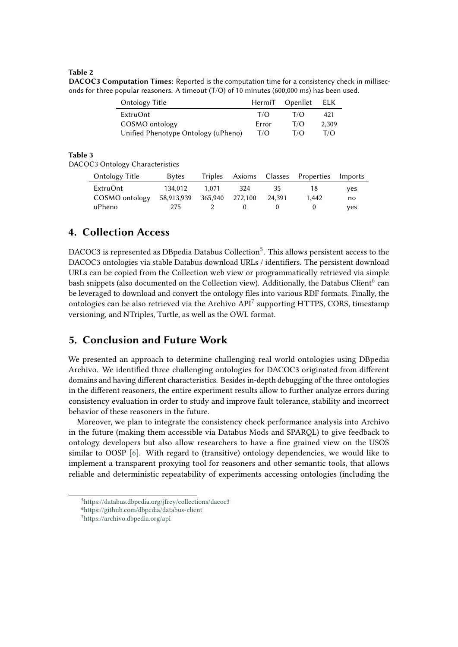#### <span id="page-3-0"></span>**Table 2**

**DACOC3 Computation Times:** Reported is the computation time for a consistency check in milliseconds for three popular reasoners. A timeout (T/O) of 10 minutes (600,000 ms) has been used.

| Ontology Title                      |       | HermiT Openllet | ELK        |
|-------------------------------------|-------|-----------------|------------|
| ExtruOnt                            | T/O   | $T/\Omega$      | 421        |
| COSMO ontology                      | Error | T/O             | 2.309      |
| Unified Phenotype Ontology (uPheno) | T/O   | T/O             | $T/\Omega$ |

#### <span id="page-3-1"></span>**Table 3**

DACOC3 Ontology Characteristics

| Ontology Title | <b>Bytes</b> |         |         |        | Triples Axioms Classes Properties | Imports |
|----------------|--------------|---------|---------|--------|-----------------------------------|---------|
| ExtruOnt       | 134.012      | 1.071   | -324    | 35.    |                                   | ves     |
| COSMO ontology | 58.913.939   | 365,940 | 272.100 | 24.391 | 1.442                             | no      |
| uPheno         | 275          |         |         |        |                                   | ves     |

## **4. Collection Access**

DACOC3 is represented as DBpedia Databus Collection $^5$  $^5$ . This allows persistent access to the DACOC3 ontologies via stable Databus download URLs / identifiers. The persistent download URLs can be copied from the Collection web view or programmatically retrieved via simple bash snippets (also documented on the Collection view). Additionally, the Databus Client $^6$  $^6$  can be leveraged to download and convert the ontology files into various RDF formats. Finally, the ontologies can be also retrieved via the Archivo  $API^7$  $API^7$  supporting HTTPS, CORS, timestamp versioning, and NTriples, Turtle, as well as the OWL format.

### **5. Conclusion and Future Work**

We presented an approach to determine challenging real world ontologies using DBpedia Archivo. We identified three challenging ontologies for DACOC3 originated from different domains and having different characteristics. Besides in-depth debugging of the three ontologies in the different reasoners, the entire experiment results allow to further analyze errors during consistency evaluation in order to study and improve fault tolerance, stability and incorrect behavior of these reasoners in the future.

Moreover, we plan to integrate the consistency check performance analysis into Archivo in the future (making them accessible via Databus Mods and SPARQL) to give feedback to ontology developers but also allow researchers to have a fine grained view on the USOS similar to OOSP [\[6\]](#page-4-3). With regard to (transitive) ontology dependencies, we would like to implement a transparent proxying tool for reasoners and other semantic tools, that allows reliable and deterministic repeatability of experiments accessing ontologies (including the

<span id="page-3-2"></span><sup>5</sup><https://databus.dbpedia.org/jfrey/collections/dacoc3>

<span id="page-3-3"></span><sup>6</sup><https://github.com/dbpedia/databus-client>

<span id="page-3-4"></span><sup>7</sup><https://archivo.dbpedia.org/api>